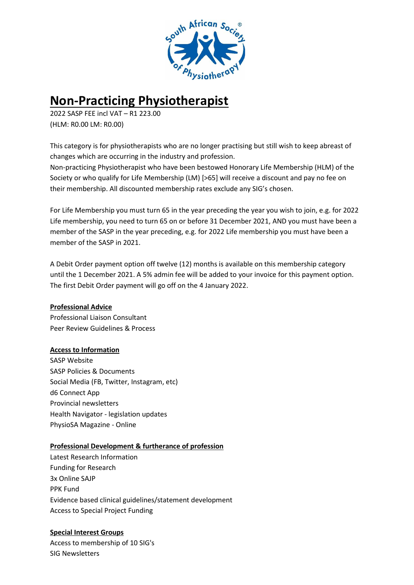

# **Non-Practicing Physiotherapist**

2022 SASP FEE incl VAT – R1 223.00 (HLM: R0.00 LM: R0.00)

This category is for physiotherapists who are no longer practising but still wish to keep abreast of changes which are occurring in the industry and profession.

Non-practicing Physiotherapist who have been bestowed Honorary Life Membership (HLM) of the Society or who qualify for Life Membership (LM) [>65] will receive a discount and pay no fee on their membership. All discounted membership rates exclude any SIG's chosen.

For Life Membership you must turn 65 in the year preceding the year you wish to join, e.g. for 2022 Life membership, you need to turn 65 on or before 31 December 2021, AND you must have been a member of the SASP in the year preceding, e.g. for 2022 Life membership you must have been a member of the SASP in 2021.

A Debit Order payment option off twelve (12) months is available on this membership category until the 1 December 2021. A 5% admin fee will be added to your invoice for this payment option. The first Debit Order payment will go off on the 4 January 2022.

# **Professional Advice**

Professional Liaison Consultant Peer Review Guidelines & Process

# **Access to Information**

SASP Website SASP Policies & Documents Social Media (FB, Twitter, Instagram, etc) d6 Connect App Provincial newsletters Health Navigator - legislation updates PhysioSA Magazine - Online

### **Professional Development & furtherance of profession**

Latest Research Information Funding for Research 3x Online SAJP PPK Fund Evidence based clinical guidelines/statement development Access to Special Project Funding

# **Special Interest Groups**

Access to membership of 10 SIG's SIG Newsletters